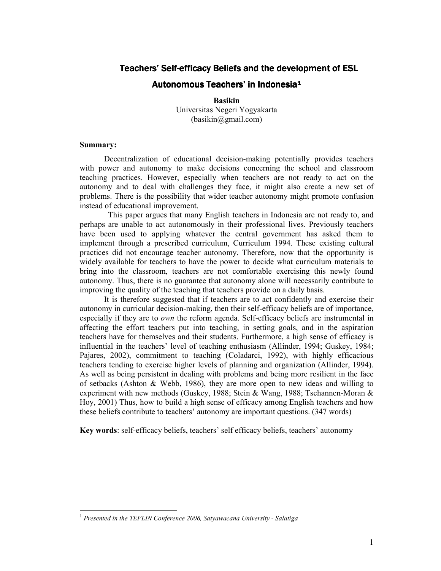# Teachers' Self-efficacy Beliefs and the development of ESL

## Autonomous Teachers' in Indonesia<sup>1</sup>

Basikin Universitas Negeri Yogyakarta (basikin@gmail.com)

## Summary:

 $\overline{a}$ 

Decentralization of educational decision-making potentially provides teachers with power and autonomy to make decisions concerning the school and classroom teaching practices. However, especially when teachers are not ready to act on the autonomy and to deal with challenges they face, it might also create a new set of problems. There is the possibility that wider teacher autonomy might promote confusion instead of educational improvement.

 This paper argues that many English teachers in Indonesia are not ready to, and perhaps are unable to act autonomously in their professional lives. Previously teachers have been used to applying whatever the central government has asked them to implement through a prescribed curriculum, Curriculum 1994. These existing cultural practices did not encourage teacher autonomy. Therefore, now that the opportunity is widely available for teachers to have the power to decide what curriculum materials to bring into the classroom, teachers are not comfortable exercising this newly found autonomy. Thus, there is no guarantee that autonomy alone will necessarily contribute to improving the quality of the teaching that teachers provide on a daily basis.

 It is therefore suggested that if teachers are to act confidently and exercise their autonomy in curricular decision-making, then their self-efficacy beliefs are of importance, especially if they are to own the reform agenda. Self-efficacy beliefs are instrumental in affecting the effort teachers put into teaching, in setting goals, and in the aspiration teachers have for themselves and their students. Furthermore, a high sense of efficacy is influential in the teachers' level of teaching enthusiasm (Allinder, 1994; Guskey, 1984; Pajares, 2002), commitment to teaching (Coladarci, 1992), with highly efficacious teachers tending to exercise higher levels of planning and organization (Allinder, 1994). As well as being persistent in dealing with problems and being more resilient in the face of setbacks (Ashton & Webb, 1986), they are more open to new ideas and willing to experiment with new methods (Guskey, 1988; Stein & Wang, 1988; Tschannen-Moran & Hoy, 2001) Thus, how to build a high sense of efficacy among English teachers and how these beliefs contribute to teachers' autonomy are important questions. (347 words)

Key words: self-efficacy beliefs, teachers' self efficacy beliefs, teachers' autonomy

 $1$  Presented in the TEFLIN Conference 2006, Satyawacana University - Salatiga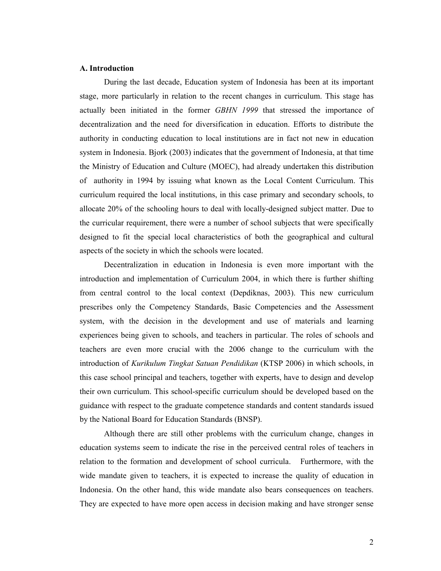## A. Introduction

During the last decade, Education system of Indonesia has been at its important stage, more particularly in relation to the recent changes in curriculum. This stage has actually been initiated in the former GBHN 1999 that stressed the importance of decentralization and the need for diversification in education. Efforts to distribute the authority in conducting education to local institutions are in fact not new in education system in Indonesia. Bjork (2003) indicates that the government of Indonesia, at that time the Ministry of Education and Culture (MOEC), had already undertaken this distribution of authority in 1994 by issuing what known as the Local Content Curriculum. This curriculum required the local institutions, in this case primary and secondary schools, to allocate 20% of the schooling hours to deal with locally-designed subject matter. Due to the curricular requirement, there were a number of school subjects that were specifically designed to fit the special local characteristics of both the geographical and cultural aspects of the society in which the schools were located.

Decentralization in education in Indonesia is even more important with the introduction and implementation of Curriculum 2004, in which there is further shifting from central control to the local context (Depdiknas, 2003). This new curriculum prescribes only the Competency Standards, Basic Competencies and the Assessment system, with the decision in the development and use of materials and learning experiences being given to schools, and teachers in particular. The roles of schools and teachers are even more crucial with the 2006 change to the curriculum with the introduction of Kurikulum Tingkat Satuan Pendidikan (KTSP 2006) in which schools, in this case school principal and teachers, together with experts, have to design and develop their own curriculum. This school-specific curriculum should be developed based on the guidance with respect to the graduate competence standards and content standards issued by the National Board for Education Standards (BNSP).

Although there are still other problems with the curriculum change, changes in education systems seem to indicate the rise in the perceived central roles of teachers in relation to the formation and development of school curricula. Furthermore, with the wide mandate given to teachers, it is expected to increase the quality of education in Indonesia. On the other hand, this wide mandate also bears consequences on teachers. They are expected to have more open access in decision making and have stronger sense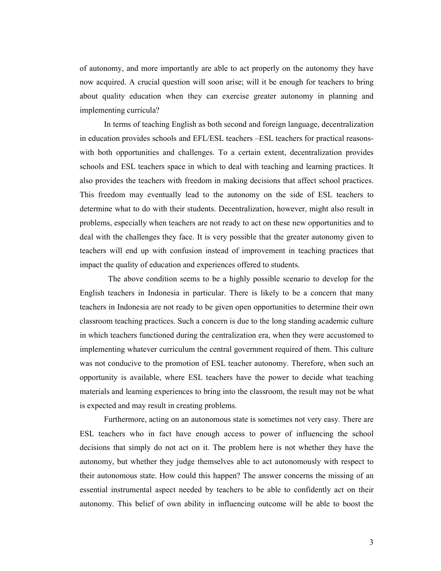of autonomy, and more importantly are able to act properly on the autonomy they have now acquired. A crucial question will soon arise; will it be enough for teachers to bring about quality education when they can exercise greater autonomy in planning and implementing curricula?

In terms of teaching English as both second and foreign language, decentralization in education provides schools and EFL/ESL teachers –ESL teachers for practical reasonswith both opportunities and challenges. To a certain extent, decentralization provides schools and ESL teachers space in which to deal with teaching and learning practices. It also provides the teachers with freedom in making decisions that affect school practices. This freedom may eventually lead to the autonomy on the side of ESL teachers to determine what to do with their students. Decentralization, however, might also result in problems, especially when teachers are not ready to act on these new opportunities and to deal with the challenges they face. It is very possible that the greater autonomy given to teachers will end up with confusion instead of improvement in teaching practices that impact the quality of education and experiences offered to students.

 The above condition seems to be a highly possible scenario to develop for the English teachers in Indonesia in particular. There is likely to be a concern that many teachers in Indonesia are not ready to be given open opportunities to determine their own classroom teaching practices. Such a concern is due to the long standing academic culture in which teachers functioned during the centralization era, when they were accustomed to implementing whatever curriculum the central government required of them. This culture was not conducive to the promotion of ESL teacher autonomy. Therefore, when such an opportunity is available, where ESL teachers have the power to decide what teaching materials and learning experiences to bring into the classroom, the result may not be what is expected and may result in creating problems.

 Furthermore, acting on an autonomous state is sometimes not very easy. There are ESL teachers who in fact have enough access to power of influencing the school decisions that simply do not act on it. The problem here is not whether they have the autonomy, but whether they judge themselves able to act autonomously with respect to their autonomous state. How could this happen? The answer concerns the missing of an essential instrumental aspect needed by teachers to be able to confidently act on their autonomy. This belief of own ability in influencing outcome will be able to boost the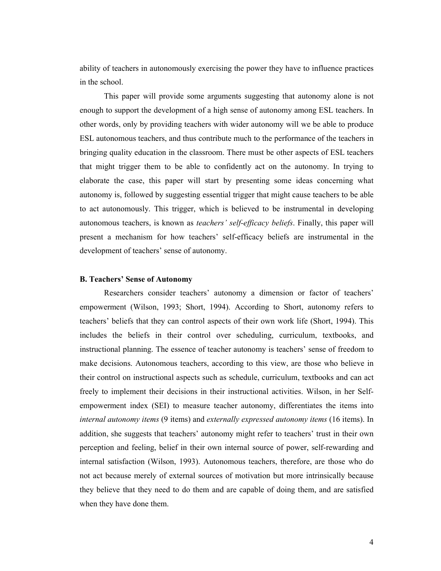ability of teachers in autonomously exercising the power they have to influence practices in the school.

 This paper will provide some arguments suggesting that autonomy alone is not enough to support the development of a high sense of autonomy among ESL teachers. In other words, only by providing teachers with wider autonomy will we be able to produce ESL autonomous teachers, and thus contribute much to the performance of the teachers in bringing quality education in the classroom. There must be other aspects of ESL teachers that might trigger them to be able to confidently act on the autonomy. In trying to elaborate the case, this paper will start by presenting some ideas concerning what autonomy is, followed by suggesting essential trigger that might cause teachers to be able to act autonomously. This trigger, which is believed to be instrumental in developing autonomous teachers, is known as *teachers' self-efficacy beliefs*. Finally, this paper will present a mechanism for how teachers' self-efficacy beliefs are instrumental in the development of teachers' sense of autonomy.

## B. Teachers' Sense of Autonomy

Researchers consider teachers' autonomy a dimension or factor of teachers' empowerment (Wilson, 1993; Short, 1994). According to Short, autonomy refers to teachers' beliefs that they can control aspects of their own work life (Short, 1994). This includes the beliefs in their control over scheduling, curriculum, textbooks, and instructional planning. The essence of teacher autonomy is teachers' sense of freedom to make decisions. Autonomous teachers, according to this view, are those who believe in their control on instructional aspects such as schedule, curriculum, textbooks and can act freely to implement their decisions in their instructional activities. Wilson, in her Selfempowerment index (SEI) to measure teacher autonomy, differentiates the items into internal autonomy items (9 items) and externally expressed autonomy items (16 items). In addition, she suggests that teachers' autonomy might refer to teachers' trust in their own perception and feeling, belief in their own internal source of power, self-rewarding and internal satisfaction (Wilson, 1993). Autonomous teachers, therefore, are those who do not act because merely of external sources of motivation but more intrinsically because they believe that they need to do them and are capable of doing them, and are satisfied when they have done them.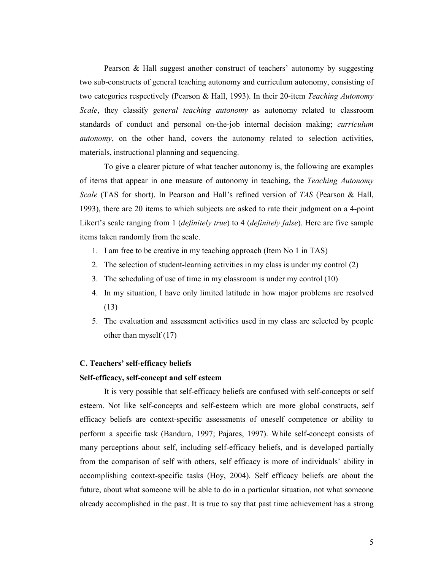Pearson & Hall suggest another construct of teachers' autonomy by suggesting two sub-constructs of general teaching autonomy and curriculum autonomy, consisting of two categories respectively (Pearson & Hall, 1993). In their 20-item Teaching Autonomy Scale, they classify general teaching autonomy as autonomy related to classroom standards of conduct and personal on-the-job internal decision making; *curriculum* autonomy, on the other hand, covers the autonomy related to selection activities, materials, instructional planning and sequencing.

 To give a clearer picture of what teacher autonomy is, the following are examples of items that appear in one measure of autonomy in teaching, the Teaching Autonomy Scale (TAS for short). In Pearson and Hall's refined version of TAS (Pearson & Hall, 1993), there are 20 items to which subjects are asked to rate their judgment on a 4-point Likert's scale ranging from 1 *(definitely true)* to 4 *(definitely false)*. Here are five sample items taken randomly from the scale.

- 1. I am free to be creative in my teaching approach (Item No 1 in TAS)
- 2. The selection of student-learning activities in my class is under my control (2)
- 3. The scheduling of use of time in my classroom is under my control (10)
- 4. In my situation, I have only limited latitude in how major problems are resolved (13)
- 5. The evaluation and assessment activities used in my class are selected by people other than myself (17)

### C. Teachers' self-efficacy beliefs

#### Self-efficacy, self-concept and self esteem

 It is very possible that self-efficacy beliefs are confused with self-concepts or self esteem. Not like self-concepts and self-esteem which are more global constructs, self efficacy beliefs are context-specific assessments of oneself competence or ability to perform a specific task (Bandura, 1997; Pajares, 1997). While self-concept consists of many perceptions about self, including self-efficacy beliefs, and is developed partially from the comparison of self with others, self efficacy is more of individuals' ability in accomplishing context-specific tasks (Hoy, 2004). Self efficacy beliefs are about the future, about what someone will be able to do in a particular situation, not what someone already accomplished in the past. It is true to say that past time achievement has a strong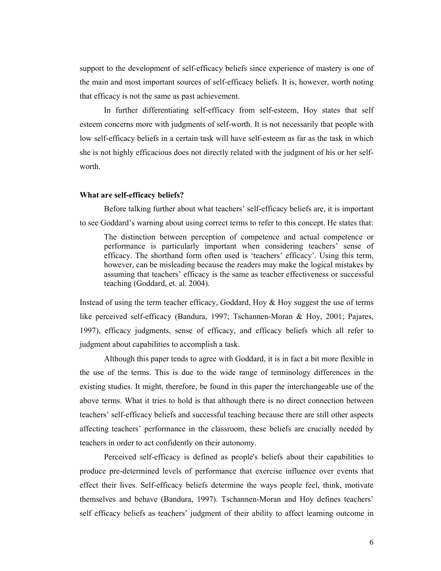support to the development of self-efficacy beliefs since experience of mastery is one of the main and most important sources of self-efficacy beliefs. It is, however, worth noting that efficacy is not the same as past achievement.

In further differentiating self-efficacy from self-esteem, Hoy states that self esteem concerns more with judgments of self-worth. It is not necessarily that people with low self-efficacy beliefs in a certain task will have self-esteem as far as the task in which she is not highly efficacious does not directly related with the judgment of his or her selfworth.

## What are self-efficacy beliefs?

 Before talking further about what teachers' self-efficacy beliefs are, it is important to see Goddard's warning about using correct terms to refer to this concept. He states that:

The distinction between perception of competence and actual competence or performance is particularly important when considering teachers' sense of efficacy. The shorthand form often used is 'teachers' efficacy'. Using this term, however, can be misleading because the readers may make the logical mistakes by assuming that teachers' efficacy is the same as teacher effectiveness or successful teaching (Goddard, et. al. 2004).

Instead of using the term teacher efficacy, Goddard, Hoy & Hoy suggest the use of terms like perceived self-efficacy (Bandura, 1997; Tschannen-Moran & Hoy, 2001; Pajares, 1997), efficacy judgments, sense of efficacy, and efficacy beliefs which all refer to judgment about capabilities to accomplish a task.

 Although this paper tends to agree with Goddard, it is in fact a bit more flexible in the use of the terms. This is due to the wide range of terminology differences in the existing studies. It might, therefore, be found in this paper the interchangeable use of the above terms. What it tries to hold is that although there is no direct connection between teachers' self-efficacy beliefs and successful teaching because there are still other aspects affecting teachers' performance in the classroom, these beliefs are crucially needed by teachers in order to act confidently on their autonomy.

Perceived self-efficacy is defined as people's beliefs about their capabilities to produce pre-determined levels of performance that exercise influence over events that effect their lives. Self-efficacy beliefs determine the ways people feel, think, motivate themselves and behave (Bandura, 1997). Tschannen-Moran and Hoy defines teachers' self efficacy beliefs as teachers' judgment of their ability to affect learning outcome in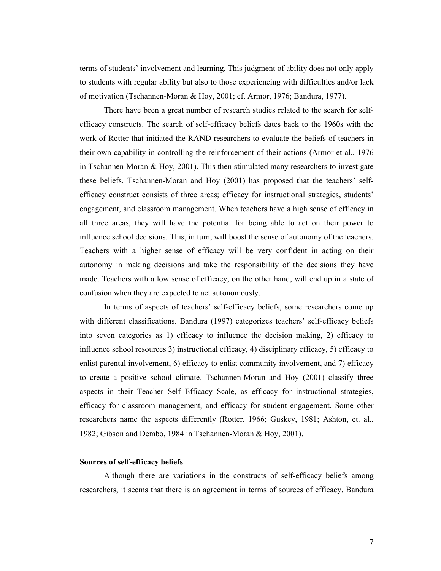terms of students' involvement and learning. This judgment of ability does not only apply to students with regular ability but also to those experiencing with difficulties and/or lack of motivation (Tschannen-Moran & Hoy, 2001; cf. Armor, 1976; Bandura, 1977).

 There have been a great number of research studies related to the search for selfefficacy constructs. The search of self-efficacy beliefs dates back to the 1960s with the work of Rotter that initiated the RAND researchers to evaluate the beliefs of teachers in their own capability in controlling the reinforcement of their actions (Armor et al., 1976 in Tschannen-Moran & Hoy, 2001). This then stimulated many researchers to investigate these beliefs. Tschannen-Moran and Hoy (2001) has proposed that the teachers' selfefficacy construct consists of three areas; efficacy for instructional strategies, students' engagement, and classroom management. When teachers have a high sense of efficacy in all three areas, they will have the potential for being able to act on their power to influence school decisions. This, in turn, will boost the sense of autonomy of the teachers. Teachers with a higher sense of efficacy will be very confident in acting on their autonomy in making decisions and take the responsibility of the decisions they have made. Teachers with a low sense of efficacy, on the other hand, will end up in a state of confusion when they are expected to act autonomously.

 In terms of aspects of teachers' self-efficacy beliefs, some researchers come up with different classifications. Bandura (1997) categorizes teachers' self-efficacy beliefs into seven categories as 1) efficacy to influence the decision making, 2) efficacy to influence school resources 3) instructional efficacy, 4) disciplinary efficacy, 5) efficacy to enlist parental involvement, 6) efficacy to enlist community involvement, and 7) efficacy to create a positive school climate. Tschannen-Moran and Hoy (2001) classify three aspects in their Teacher Self Efficacy Scale, as efficacy for instructional strategies, efficacy for classroom management, and efficacy for student engagement. Some other researchers name the aspects differently (Rotter, 1966; Guskey, 1981; Ashton, et. al., 1982; Gibson and Dembo, 1984 in Tschannen-Moran & Hoy, 2001).

## Sources of self-efficacy beliefs

Although there are variations in the constructs of self-efficacy beliefs among researchers, it seems that there is an agreement in terms of sources of efficacy. Bandura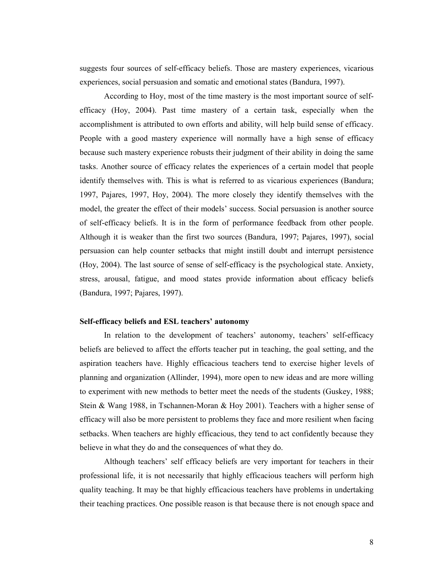suggests four sources of self-efficacy beliefs. Those are mastery experiences, vicarious experiences, social persuasion and somatic and emotional states (Bandura, 1997).

According to Hoy, most of the time mastery is the most important source of selfefficacy (Hoy, 2004). Past time mastery of a certain task, especially when the accomplishment is attributed to own efforts and ability, will help build sense of efficacy. People with a good mastery experience will normally have a high sense of efficacy because such mastery experience robusts their judgment of their ability in doing the same tasks. Another source of efficacy relates the experiences of a certain model that people identify themselves with. This is what is referred to as vicarious experiences (Bandura; 1997, Pajares, 1997, Hoy, 2004). The more closely they identify themselves with the model, the greater the effect of their models' success. Social persuasion is another source of self-efficacy beliefs. It is in the form of performance feedback from other people. Although it is weaker than the first two sources (Bandura, 1997; Pajares, 1997), social persuasion can help counter setbacks that might instill doubt and interrupt persistence (Hoy, 2004). The last source of sense of self-efficacy is the psychological state. Anxiety, stress, arousal, fatigue, and mood states provide information about efficacy beliefs (Bandura, 1997; Pajares, 1997).

## Self-efficacy beliefs and ESL teachers' autonomy

In relation to the development of teachers' autonomy, teachers' self-efficacy beliefs are believed to affect the efforts teacher put in teaching, the goal setting, and the aspiration teachers have. Highly efficacious teachers tend to exercise higher levels of planning and organization (Allinder, 1994), more open to new ideas and are more willing to experiment with new methods to better meet the needs of the students (Guskey, 1988; Stein & Wang 1988, in Tschannen-Moran & Hoy 2001). Teachers with a higher sense of efficacy will also be more persistent to problems they face and more resilient when facing setbacks. When teachers are highly efficacious, they tend to act confidently because they believe in what they do and the consequences of what they do.

Although teachers' self efficacy beliefs are very important for teachers in their professional life, it is not necessarily that highly efficacious teachers will perform high quality teaching. It may be that highly efficacious teachers have problems in undertaking their teaching practices. One possible reason is that because there is not enough space and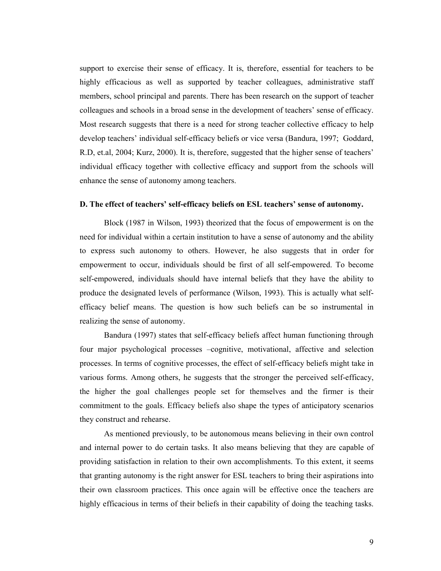support to exercise their sense of efficacy. It is, therefore, essential for teachers to be highly efficacious as well as supported by teacher colleagues, administrative staff members, school principal and parents. There has been research on the support of teacher colleagues and schools in a broad sense in the development of teachers' sense of efficacy. Most research suggests that there is a need for strong teacher collective efficacy to help develop teachers' individual self-efficacy beliefs or vice versa (Bandura, 1997; Goddard, R.D, et.al, 2004; Kurz, 2000). It is, therefore, suggested that the higher sense of teachers' individual efficacy together with collective efficacy and support from the schools will enhance the sense of autonomy among teachers.

## D. The effect of teachers' self-efficacy beliefs on ESL teachers' sense of autonomy.

Block (1987 in Wilson, 1993) theorized that the focus of empowerment is on the need for individual within a certain institution to have a sense of autonomy and the ability to express such autonomy to others. However, he also suggests that in order for empowerment to occur, individuals should be first of all self-empowered. To become self-empowered, individuals should have internal beliefs that they have the ability to produce the designated levels of performance (Wilson, 1993). This is actually what selfefficacy belief means. The question is how such beliefs can be so instrumental in realizing the sense of autonomy.

Bandura (1997) states that self-efficacy beliefs affect human functioning through four major psychological processes –cognitive, motivational, affective and selection processes. In terms of cognitive processes, the effect of self-efficacy beliefs might take in various forms. Among others, he suggests that the stronger the perceived self-efficacy, the higher the goal challenges people set for themselves and the firmer is their commitment to the goals. Efficacy beliefs also shape the types of anticipatory scenarios they construct and rehearse.

As mentioned previously, to be autonomous means believing in their own control and internal power to do certain tasks. It also means believing that they are capable of providing satisfaction in relation to their own accomplishments. To this extent, it seems that granting autonomy is the right answer for ESL teachers to bring their aspirations into their own classroom practices. This once again will be effective once the teachers are highly efficacious in terms of their beliefs in their capability of doing the teaching tasks.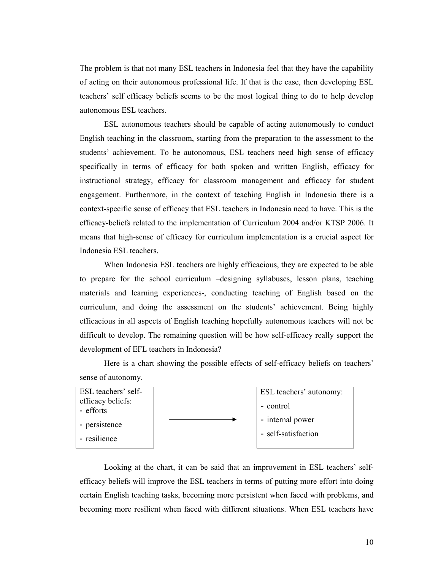The problem is that not many ESL teachers in Indonesia feel that they have the capability of acting on their autonomous professional life. If that is the case, then developing ESL teachers' self efficacy beliefs seems to be the most logical thing to do to help develop autonomous ESL teachers.

ESL autonomous teachers should be capable of acting autonomously to conduct English teaching in the classroom, starting from the preparation to the assessment to the students' achievement. To be autonomous, ESL teachers need high sense of efficacy specifically in terms of efficacy for both spoken and written English, efficacy for instructional strategy, efficacy for classroom management and efficacy for student engagement. Furthermore, in the context of teaching English in Indonesia there is a context-specific sense of efficacy that ESL teachers in Indonesia need to have. This is the efficacy-beliefs related to the implementation of Curriculum 2004 and/or KTSP 2006. It means that high-sense of efficacy for curriculum implementation is a crucial aspect for Indonesia ESL teachers.

When Indonesia ESL teachers are highly efficacious, they are expected to be able to prepare for the school curriculum –designing syllabuses, lesson plans, teaching materials and learning experiences-, conducting teaching of English based on the curriculum, and doing the assessment on the students' achievement. Being highly efficacious in all aspects of English teaching hopefully autonomous teachers will not be difficult to develop. The remaining question will be how self-efficacy really support the development of EFL teachers in Indonesia?

Here is a chart showing the possible effects of self-efficacy beliefs on teachers' sense of autonomy.



Looking at the chart, it can be said that an improvement in ESL teachers' selfefficacy beliefs will improve the ESL teachers in terms of putting more effort into doing certain English teaching tasks, becoming more persistent when faced with problems, and becoming more resilient when faced with different situations. When ESL teachers have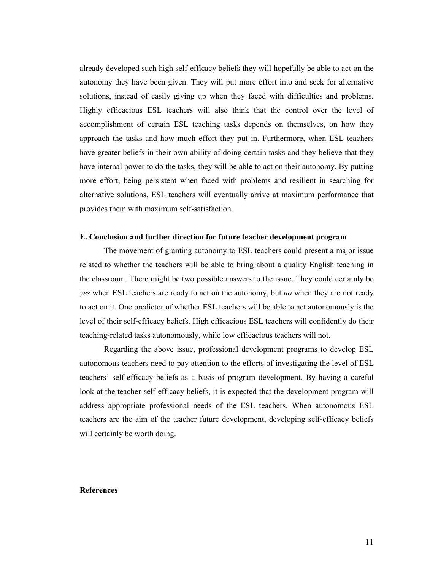already developed such high self-efficacy beliefs they will hopefully be able to act on the autonomy they have been given. They will put more effort into and seek for alternative solutions, instead of easily giving up when they faced with difficulties and problems. Highly efficacious ESL teachers will also think that the control over the level of accomplishment of certain ESL teaching tasks depends on themselves, on how they approach the tasks and how much effort they put in. Furthermore, when ESL teachers have greater beliefs in their own ability of doing certain tasks and they believe that they have internal power to do the tasks, they will be able to act on their autonomy. By putting more effort, being persistent when faced with problems and resilient in searching for alternative solutions, ESL teachers will eventually arrive at maximum performance that provides them with maximum self-satisfaction.

## E. Conclusion and further direction for future teacher development program

 The movement of granting autonomy to ESL teachers could present a major issue related to whether the teachers will be able to bring about a quality English teaching in the classroom. There might be two possible answers to the issue. They could certainly be yes when ESL teachers are ready to act on the autonomy, but *no* when they are not ready to act on it. One predictor of whether ESL teachers will be able to act autonomously is the level of their self-efficacy beliefs. High efficacious ESL teachers will confidently do their teaching-related tasks autonomously, while low efficacious teachers will not.

 Regarding the above issue, professional development programs to develop ESL autonomous teachers need to pay attention to the efforts of investigating the level of ESL teachers' self-efficacy beliefs as a basis of program development. By having a careful look at the teacher-self efficacy beliefs, it is expected that the development program will address appropriate professional needs of the ESL teachers. When autonomous ESL teachers are the aim of the teacher future development, developing self-efficacy beliefs will certainly be worth doing.

## References